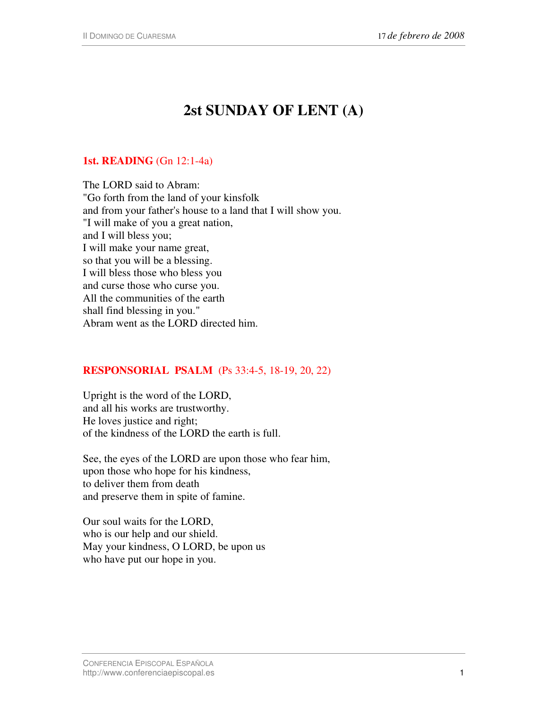# **2st SUNDAY OF LENT (A)**

## **1st. READING** (Gn 12:1-4a)

The LORD said to Abram: "Go forth from the land of your kinsfolk and from your father's house to a land that I will show you. "I will make of you a great nation, and I will bless you; I will make your name great, so that you will be a blessing. I will bless those who bless you and curse those who curse you. All the communities of the earth shall find blessing in you." Abram went as the LORD directed him.

## **RESPONSORIAL PSALM** (Ps 33:4-5, 18-19, 20, 22)

Upright is the word of the LORD, and all his works are trustworthy. He loves justice and right; of the kindness of the LORD the earth is full.

See, the eyes of the LORD are upon those who fear him, upon those who hope for his kindness, to deliver them from death and preserve them in spite of famine.

Our soul waits for the LORD, who is our help and our shield. May your kindness, O LORD, be upon us who have put our hope in you.